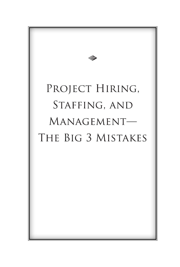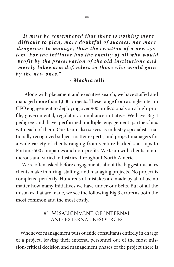"It must be remembered that there is nothing more difficult to plan, more doubtful of success, nor more *dangerous to manage, than the creation of a new sys*tem. For the initiator has the enmity of all who would profit by the preservation of the old institutions and *merely lukewarm defenders in those who would gain by the ne w ones."*

#### *- Machiavelli*

 Along with placement and executive search, we have staffed and managed more than 1,000 projects. These range from a single interim CFO engagement to deploying over 900 professionals on a high-profile, governmental, regulatory compliance initiative. We have Big 4 pedigree and have performed multiple engagement partnerships with each of them. Our team also serves as industry specialists, nationally recognized subject matter experts, and project managers for a wide variety of clients ranging from venture-backed start-ups to Fortune 500 companies and non-profits. We team with clients in numerous and varied industries throughout North America.

 We're often asked before engagements about the biggest mistakes clients make in hiring, staffing, and managing projects. No project is completed perfectly. Hundreds of mistakes are made by all of us, no matter how many initiatives we have under our belts. But of all the mistakes that are made, we see the following Big 3 errors as both the most common and the most costly.

### #1 Misalignment of internal and external resources

 Whenever management puts outside consultants entirely in charge of a project, leaving their internal personnel out of the most mission-critical decision and management phases of the project there is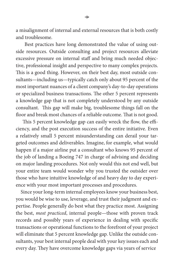a misalignment of internal and external resources that is both costly and troublesome.

 Best practices have long demonstrated the value of using outside resources. Outside consulting and project resources alleviate excessive pressure on internal staff and bring much needed objective, professional insight and perspective to many complex projects. This is a good thing. However, on their best day, most outside consultants—including us—typically catch only about 95 percent of the most important nuances of a client company's day-to-day operations or specialized business transactions. The other 5 percent represents a knowledge gap that is not completely understood by any outside consultant. This gap will make big, troublesome things fall on the floor and break most chances of a reliable outcome. That is not good.

 This 5 percent knowledge gap can easily wreck the flow, the efficiency, and the post execution success of the entire initiative. Even a relatively small 5 percent misunderstanding can derail your targeted outcomes and deliverables. Imagine, for example, what would happen if a major airline put a consultant who knows 95 percent of the job of landing a Boeing 747 in charge of advising and deciding on major landing procedures. Not only would this not end well, but your entire team would wonder why you trusted the outsider over those who have intuitive knowledge of and heavy day to day experience with your most important processes and procedures.

 Since your long-term internal employees know your business best, you would be wise to use, leverage, and trust their judgment and expertise. People generally do best what they practice most. Assigning the best, *most practiced*, internal people—those with proven track records and possibly years of experience in dealing with specific transactions or operational functions to the forefront of your project will eliminate that 5 percent knowledge gap. Unlike the outside consultants, your best internal people deal with your key issues each and every day. They have overcome knowledge gaps via years of service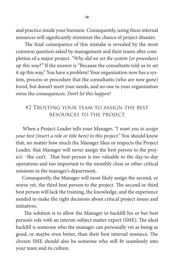and practice inside your business. Consequently, using these internal resources will significantly minimize the chance of project disaster.

 The final consequence of this mistake is revealed by the most common question asked by management and their teams after completion of a major project. *"Why did we set the system (or procedure) up this way?"* If the answer is "Because the consultants told us to set it up this way," You have a problem! Your organization now has a system, process or procedure that the consultants (who are now gone) loved, but doesn't meet your needs, and no one in your organization owns the consequences. *Don't let this happen!*

# #2 Trusting your team to assign the best resources to the project

 When a Project Leader tells your Manager, *"I want you to assign your best (insert a role or title here) to this project."* You should know that, no matter how much the Manager likes or respects the Project Leader, that Manager will never assign the best person to the project. She can't. That best person is too valuable to the day-to-day operations and too important to the monthly close or other critical missions in the manager's department.

 Consequently, the Manager will most likely assign the second, or worse yet, the third best person to the project. The second or third best person will lack the training, the knowledge, and the experience needed to make the right decisions about critical project issues and initiatives.

 The solution is to allow the Manager to backfill his or her best person's role with an interim subject matter expert (SME). The ideal backfill is someone who the manager can personally vet as being as good, or maybe even better, than their best internal resource. The chosen SME should also be someone who will fit seamlessly into your team and its culture.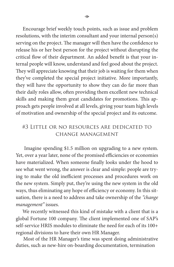Encourage brief weekly touch points, such as issue and problem resolutions, with the interim consultant and your internal person(s) serving on the project. The manager will then have the confidence to release his or her best person for the project without disrupting the critical flow of their department. An added benefit is that your internal people will know, understand and feel good about the project. They will appreciate knowing that their job is waiting for them when they've completed the special project initiative. More importantly, they will have the opportunity to show they can do far more than their daily roles allow, often providing them excellent new technical skills and making them great candidates for promotions. This approach gets people involved at all levels, giving your team high levels of motivation and ownership of the special project and its outcome.

# #3 Little or no resources are dedicated to change management

 Imagine spending \$1.5 million on upgrading to a new system. Yet, over a year later, none of the promised efficiencies or economies have materialized. When someone finally looks under the hood to see what went wrong, the answer is clear and simple: people are trying to make the old inefficient processes and procedures work on the new system. Simply put, they're using the new system in the old ways, thus eliminating any hope of efficiency or economy. In this situation, there is a need to address and take ownership of the *"change management"* issues.

 We recently witnessed this kind of mistake with a client that is a global Fortune 100 company. The client implemented one of SAP's self-service HRIS modules to eliminate the need for each of its 100+ regional divisions to have their own HR Manager.

 Most of the HR Manager's time was spent doing administrative duties, such as new-hire on-boarding documentation, termination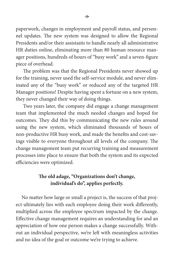paperwork, changes in employment and payroll status, and personnel updates. The new system was designed to allow the Regional Presidents and/or their assistants to handle nearly all administrative HR duties online, eliminating more than 80 human resource manager positions, hundreds of hours of "busy work" and a seven-figure piece of overhead.

 $\Leftrightarrow$ 

 The problem was that the Regional Presidents never showed up for the training, never used the self-service module, and never eliminated any of the "busy work" or reduced any of the targeted HR Manager positions! Despite having spent a fortune on a new system, they never changed their way of doing things.

 Two years later, the company did engage a change management team that implemented the much needed changes and hoped for outcomes. They did this by communicating the new rules around using the new system, which eliminated thousands of hours of non-productive HR busy work, and made the benefits and cost-savings visible to everyone throughout all levels of the company. The change management team put recurring training and measurement processes into place to ensure that both the system and its expected efficiencies were optimized.

# **The old adage, "Organizations don't change, individual's do", applies perfectly.**

 No matter how large or small a project is, the success of that project ultimately lies with each employee doing their work differently, multiplied across the employee spectrum impacted by the change. Effective change management requires an understanding for and an appreciation of how one person makes a change successfully. Without an individual perspective, we're left with meaningless activities and no idea of the goal or outcome we're trying to achieve.